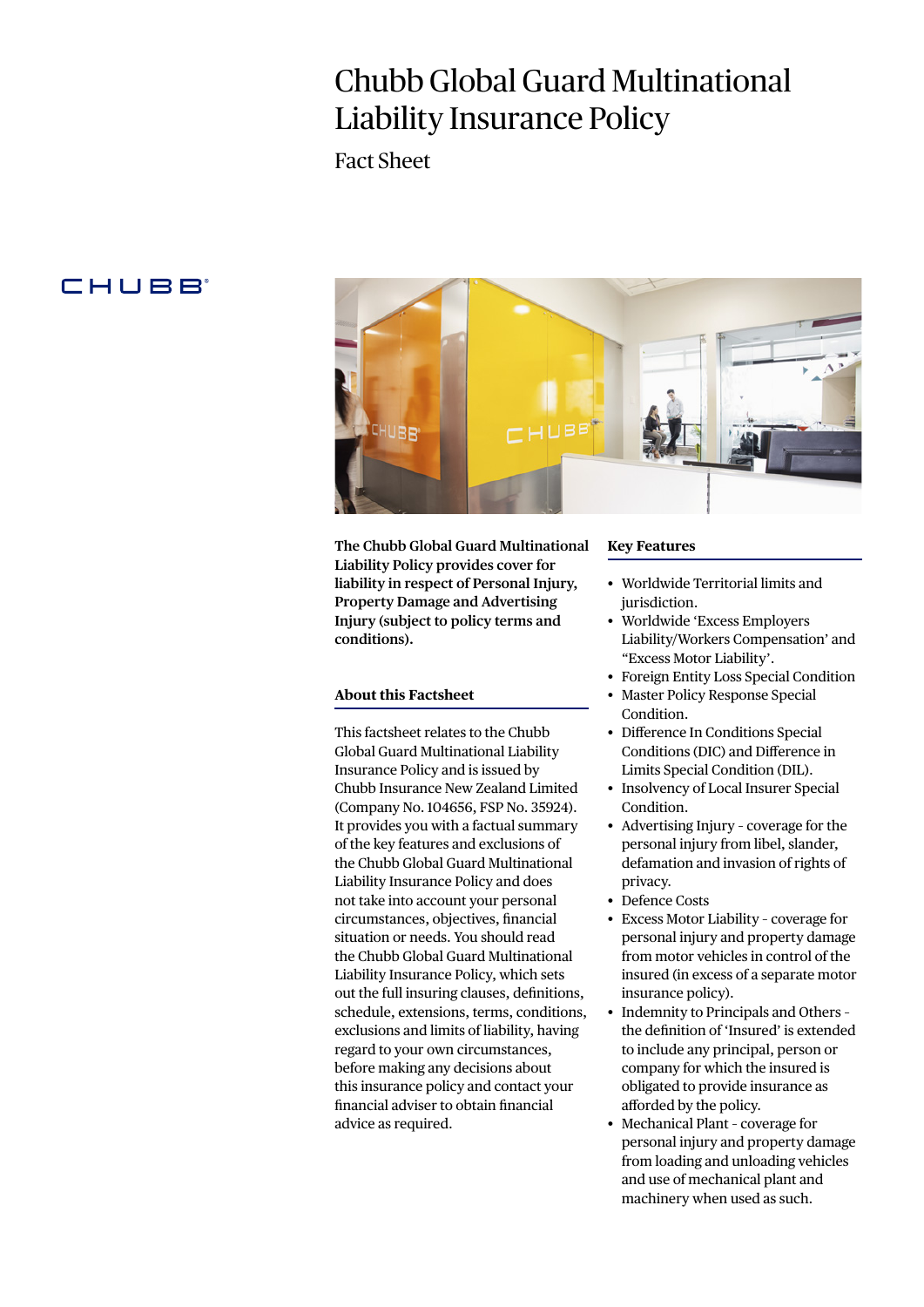# Chubb Global Guard Multinational Liability Insurance Policy

Fact Sheet

# **CHUBB**



**The Chubb Global Guard Multinational Liability Policy provides cover for liability in respect of Personal Injury, Property Damage and Advertising Injury (subject to policy terms and conditions).**

#### **About this Factsheet**

This factsheet relates to the Chubb Global Guard Multinational Liability Insurance Policy and is issued by Chubb Insurance New Zealand Limited (Company No. 104656, FSP No. 35924). It provides you with a factual summary of the key features and exclusions of the Chubb Global Guard Multinational Liability Insurance Policy and does not take into account your personal circumstances, objectives, financial situation or needs. You should read the Chubb Global Guard Multinational Liability Insurance Policy, which sets out the full insuring clauses, definitions, schedule, extensions, terms, conditions, exclusions and limits of liability, having regard to your own circumstances, before making any decisions about this insurance policy and contact your financial adviser to obtain financial advice as required.

#### **Key Features**

- Worldwide Territorial limits and jurisdiction.
- Worldwide 'Excess Employers Liability/Workers Compensation' and "Excess Motor Liability'.
- Foreign Entity Loss Special Condition
- Master Policy Response Special Condition.
- Difference In Conditions Special Conditions (DIC) and Difference in Limits Special Condition (DIL).
- Insolvency of Local Insurer Special Condition.
- Advertising Injury coverage for the personal injury from libel, slander, defamation and invasion of rights of privacy.
- Defence Costs
- Excess Motor Liability coverage for personal injury and property damage from motor vehicles in control of the insured (in excess of a separate motor insurance policy).
- Indemnity to Principals and Others the definition of 'Insured' is extended to include any principal, person or company for which the insured is obligated to provide insurance as afforded by the policy.
- Mechanical Plant coverage for personal injury and property damage from loading and unloading vehicles and use of mechanical plant and machinery when used as such.